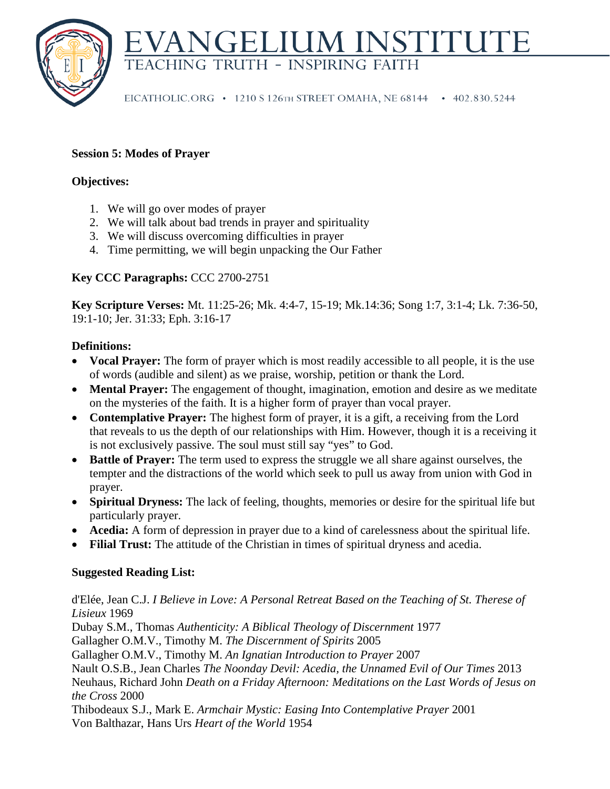

# **Session 5: Modes of Prayer**

# **Objectives:**

- 1. We will go over modes of prayer
- 2. We will talk about bad trends in prayer and spirituality
- 3. We will discuss overcoming difficulties in prayer
- 4. Time permitting, we will begin unpacking the Our Father

# **Key CCC Paragraphs:** CCC 2700-2751

**Key Scripture Verses:** Mt. 11:25-26; Mk. 4:4-7, 15-19; Mk.14:36; Song 1:7, 3:1-4; Lk. 7:36-50, 19:1-10; Jer. 31:33; Eph. 3:16-17

## **Definitions:**

- **Vocal Prayer:** The form of prayer which is most readily accessible to all people, it is the use of words (audible and silent) as we praise, worship, petition or thank the Lord.
- **Mental Prayer:** The engagement of thought, imagination, emotion and desire as we meditate on the mysteries of the faith. It is a higher form of prayer than vocal prayer.
- **Contemplative Prayer:** The highest form of prayer, it is a gift, a receiving from the Lord that reveals to us the depth of our relationships with Him. However, though it is a receiving it is not exclusively passive. The soul must still say "yes" to God.
- **Battle of Prayer:** The term used to express the struggle we all share against ourselves, the tempter and the distractions of the world which seek to pull us away from union with God in prayer.
- **Spiritual Dryness:** The lack of feeling, thoughts, memories or desire for the spiritual life but particularly prayer.
- **Acedia:** A form of depression in prayer due to a kind of carelessness about the spiritual life.
- **Filial Trust:** The attitude of the Christian in times of spiritual dryness and acedia.

## **Suggested Reading List:**

d'Elée, Jean C.J. *I Believe in Love: A Personal Retreat Based on the Teaching of St. Therese of Lisieux* 1969

Dubay S.M., Thomas *Authenticity: A Biblical Theology of Discernment* 1977 Gallagher O.M.V., Timothy M. *The Discernment of Spirits* 2005 Gallagher O.M.V., Timothy M. *An Ignatian Introduction to Prayer* 2007 Nault O.S.B., Jean Charles *The Noonday Devil: Acedia, the Unnamed Evil of Our Times* 2013 Neuhaus, Richard John *Death on a Friday Afternoon: Meditations on the Last Words of Jesus on the Cross* 2000 Thibodeaux S.J., Mark E. *Armchair Mystic: Easing Into Contemplative Prayer* 2001 Von Balthazar, Hans Urs *Heart of the World* 1954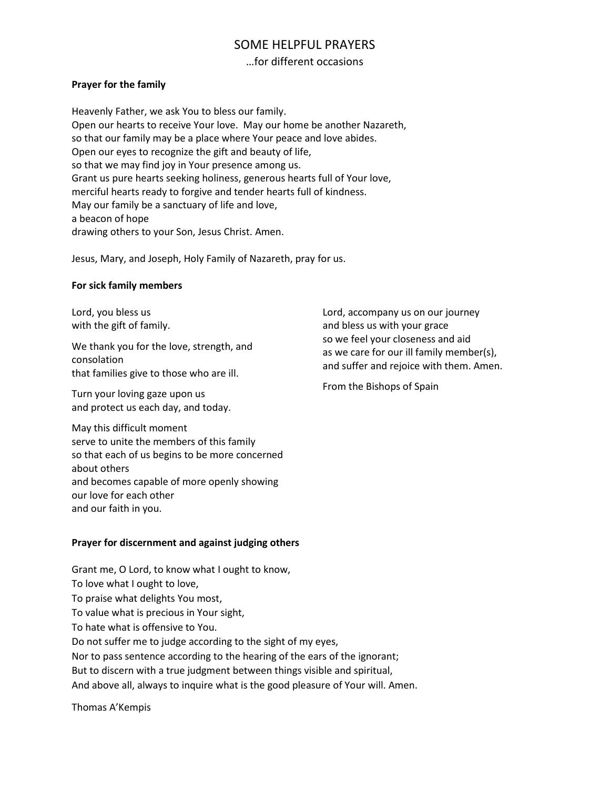…for different occasions

## **Prayer for the family**

Heavenly Father, we ask You to bless our family. Open our hearts to receive Your love. May our home be another Nazareth, so that our family may be a place where Your peace and love abides. Open our eyes to recognize the gift and beauty of life, so that we may find joy in Your presence among us. Grant us pure hearts seeking holiness, generous hearts full of Your love, merciful hearts ready to forgive and tender hearts full of kindness. May our family be a sanctuary of life and love, a beacon of hope drawing others to your Son, Jesus Christ. Amen.

Jesus, Mary, and Joseph, Holy Family of Nazareth, pray for us.

#### **For sick family members**

Lord, you bless us with the gift of family.

We thank you for the love, strength, and consolation that families give to those who are ill.

Turn your loving gaze upon us and protect us each day, and today.

May this difficult moment serve to unite the members of this family so that each of us begins to be more concerned about others and becomes capable of more openly showing our love for each other and our faith in you.

## **Prayer for discernment and against judging others**

Grant me, O Lord, to know what I ought to know, To love what I ought to love, To praise what delights You most, To value what is precious in Your sight, To hate what is offensive to You. Do not suffer me to judge according to the sight of my eyes, Nor to pass sentence according to the hearing of the ears of the ignorant; But to discern with a true judgment between things visible and spiritual, And above all, always to inquire what is the good pleasure of Your will. Amen.

Thomas A'Kempis

Lord, accompany us on our journey and bless us with your grace so we feel your closeness and aid as we care for our ill family member(s), and suffer and rejoice with them. Amen.

From the Bishops of Spain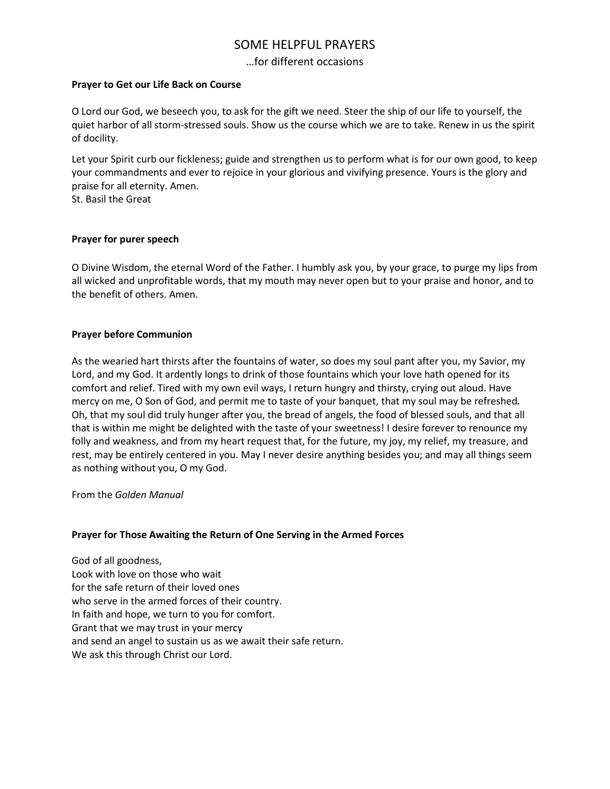…for different occasions

#### **Prayer to Get our Life Back on Course**

O Lord our God, we beseech you, to ask for the gift we need. Steer the ship of our life to yourself, the quiet harbor of all storm-stressed souls. Show us the course which we are to take. Renew in us the spirit of docility.

Let your Spirit curb our fickleness; guide and strengthen us to perform what is for our own good, to keep your commandments and ever to rejoice in your glorious and vivifying presence. Yours is the glory and praise for all eternity. Amen.

St. Basil the Great

## **Prayer for purer speech**

O Divine Wisdom, the eternal Word of the Father. I humbly ask you, by your grace, to purge my lips from all wicked and unprofitable words, that my mouth may never open but to your praise and honor, and to the benefit of others. Amen.

## **Prayer before Communion**

As the wearied hart thirsts after the fountains of water, so does my soul pant after you, my Savior, my Lord, and my God. It ardently longs to drink of those fountains which your love hath opened for its comfort and relief. Tired with my own evil ways, I return hungry and thirsty, crying out aloud. Have mercy on me, O Son of God, and permit me to taste of your banquet, that my soul may be refreshed*.* Oh, that my soul did truly hunger after you, the bread of angels, the food of blessed souls, and that all that is within me might be delighted with the taste of your sweetness! I desire forever to renounce my folly and weakness, and from my heart request that, for the future, my joy, my relief, my treasure, and rest, may be entirely centered in you. May I never desire anything besides you; and may all things seem as nothing without you, O my God.

From the *Golden Manual*

## **Prayer for Those Awaiting the Return of One Serving in the Armed Forces**

God of all goodness, Look with love on those who wait for the safe return of their loved ones who serve in the armed forces of their country. In faith and hope, we turn to you for comfort. Grant that we may trust in your mercy and send an angel to sustain us as we await their safe return. We ask this through Christ our Lord.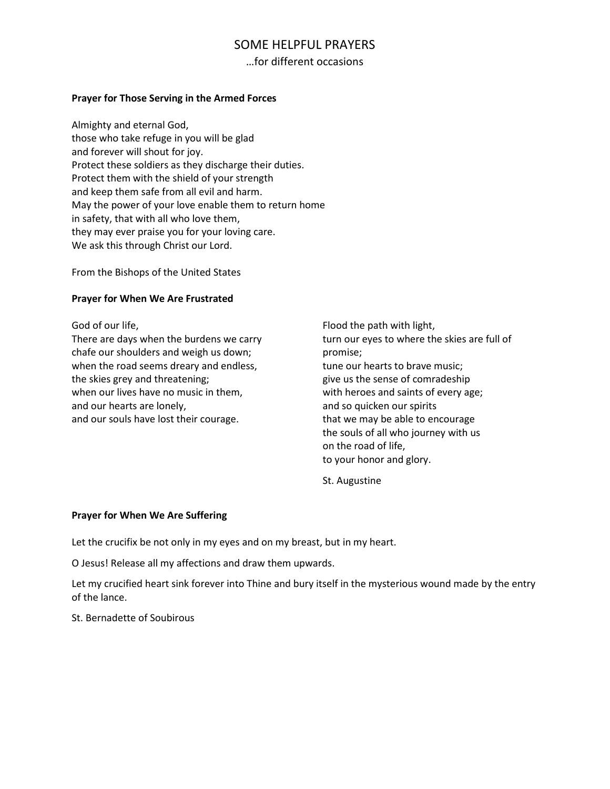## …for different occasions

#### **Prayer for Those Serving in the Armed Forces**

Almighty and eternal God, those who take refuge in you will be glad and forever will shout for joy. Protect these soldiers as they discharge their duties. Protect them with the shield of your strength and keep them safe from all evil and harm. May the power of your love enable them to return home in safety, that with all who love them, they may ever praise you for your loving care. We ask this through Christ our Lord.

From the Bishops of the United States

#### **Prayer for When We Are Frustrated**

God of our life, There are days when the burdens we carry chafe our shoulders and weigh us down; when the road seems dreary and endless, the skies grey and threatening; when our lives have no music in them, and our hearts are lonely, and our souls have lost their courage.

Flood the path with light, turn our eyes to where the skies are full of promise; tune our hearts to brave music; give us the sense of comradeship with heroes and saints of every age; and so quicken our spirits that we may be able to encourage the souls of all who journey with us on the road of life, to your honor and glory.

St. Augustine

#### **Prayer for When We Are Suffering**

Let the crucifix be not only in my eyes and on my breast, but in my heart.

O Jesus! Release all my affections and draw them upwards.

Let my crucified heart sink forever into Thine and bury itself in the mysterious wound made by the entry of the lance.

St. Bernadette of Soubirous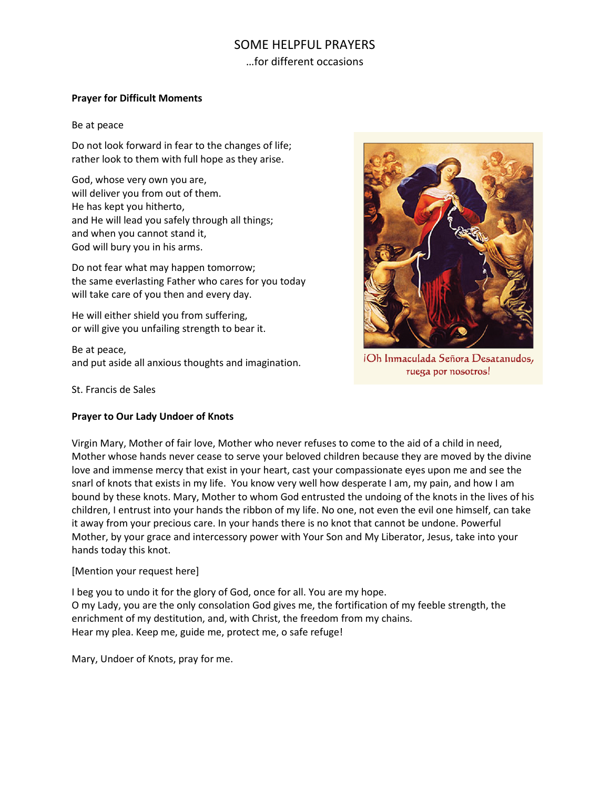## …for different occasions

#### **Prayer for Difficult Moments**

#### Be at peace

Do not look forward in fear to the changes of life; rather look to them with full hope as they arise.

God, whose very own you are, will deliver you from out of them. He has kept you hitherto, and He will lead you safely through all things; and when you cannot stand it, God will bury you in his arms.

Do not fear what may happen tomorrow; the same everlasting Father who cares for you today will take care of you then and every day.

He will either shield you from suffering, or will give you unfailing strength to bear it.

Be at peace, and put aside all anxious thoughts and imagination.

St. Francis de Sales

#### **Prayer to Our Lady Undoer of Knots**



iOh Inmaculada Señora Desatanudos, ruega por nosotros!

Virgin Mary, Mother of fair love, Mother who never refuses to come to the aid of a child in need, Mother whose hands never cease to serve your beloved children because they are moved by the divine love and immense mercy that exist in your heart, cast your compassionate eyes upon me and see the snarl of knots that exists in my life. You know very well how desperate I am, my pain, and how I am bound by these knots. Mary, Mother to whom God entrusted the undoing of the knots in the lives of his children, I entrust into your hands the ribbon of my life. No one, not even the evil one himself, can take it away from your precious care. In your hands there is no knot that cannot be undone. Powerful Mother, by your grace and intercessory power with Your Son and My Liberator, Jesus, take into your hands today this knot.

#### [Mention your request here]

I beg you to undo it for the glory of God, once for all. You are my hope. O my Lady, you are the only consolation God gives me, the fortification of my feeble strength, the enrichment of my destitution, and, with Christ, the freedom from my chains. Hear my plea. Keep me, guide me, protect me, o safe refuge!

Mary, Undoer of Knots, pray for me.